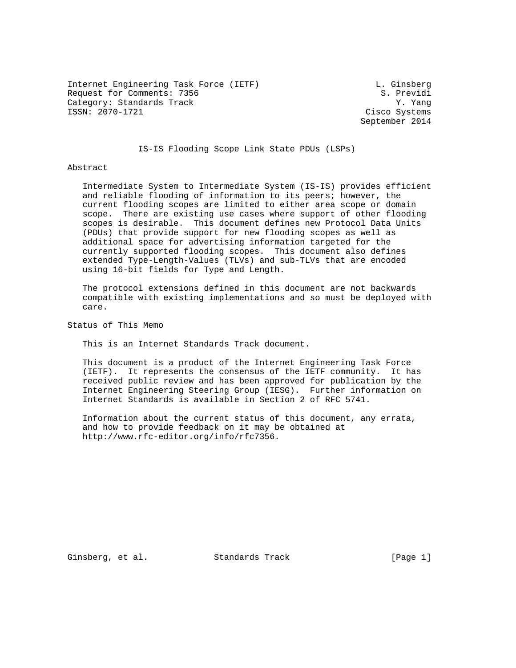Internet Engineering Task Force (IETF) and the U. Ginsberg Request for Comments: 7356 S. Previdi Category: Standards Track Track (Standards Track Standards Track Standards Standards Standards Standards Standards Standards Standards Standards Standards (Standards Standards Standards Standards Standards Standards Standa

Cisco Systems September 2014

## IS-IS Flooding Scope Link State PDUs (LSPs)

#### Abstract

 Intermediate System to Intermediate System (IS-IS) provides efficient and reliable flooding of information to its peers; however, the current flooding scopes are limited to either area scope or domain scope. There are existing use cases where support of other flooding scopes is desirable. This document defines new Protocol Data Units (PDUs) that provide support for new flooding scopes as well as additional space for advertising information targeted for the currently supported flooding scopes. This document also defines extended Type-Length-Values (TLVs) and sub-TLVs that are encoded using 16-bit fields for Type and Length.

 The protocol extensions defined in this document are not backwards compatible with existing implementations and so must be deployed with care.

Status of This Memo

This is an Internet Standards Track document.

 This document is a product of the Internet Engineering Task Force (IETF). It represents the consensus of the IETF community. It has received public review and has been approved for publication by the Internet Engineering Steering Group (IESG). Further information on Internet Standards is available in Section 2 of RFC 5741.

 Information about the current status of this document, any errata, and how to provide feedback on it may be obtained at http://www.rfc-editor.org/info/rfc7356.

Ginsberg, et al. Standards Track [Page 1]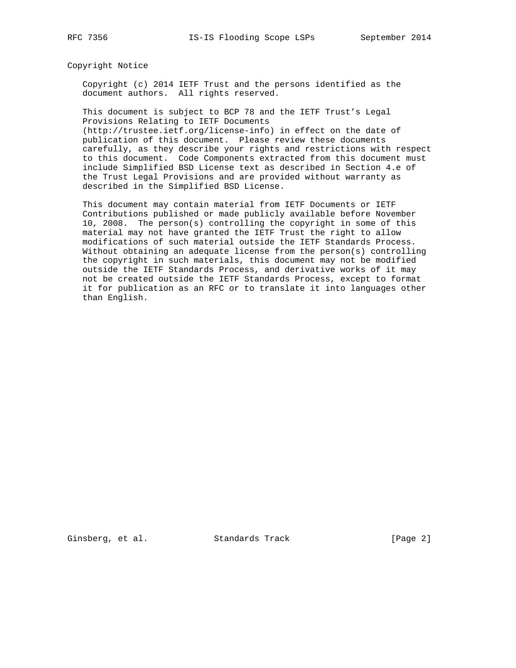Copyright Notice

 Copyright (c) 2014 IETF Trust and the persons identified as the document authors. All rights reserved.

 This document is subject to BCP 78 and the IETF Trust's Legal Provisions Relating to IETF Documents

 (http://trustee.ietf.org/license-info) in effect on the date of publication of this document. Please review these documents carefully, as they describe your rights and restrictions with respect to this document. Code Components extracted from this document must include Simplified BSD License text as described in Section 4.e of the Trust Legal Provisions and are provided without warranty as described in the Simplified BSD License.

 This document may contain material from IETF Documents or IETF Contributions published or made publicly available before November 10, 2008. The person(s) controlling the copyright in some of this material may not have granted the IETF Trust the right to allow modifications of such material outside the IETF Standards Process. Without obtaining an adequate license from the person(s) controlling the copyright in such materials, this document may not be modified outside the IETF Standards Process, and derivative works of it may not be created outside the IETF Standards Process, except to format it for publication as an RFC or to translate it into languages other than English.

Ginsberg, et al. Standards Track [Page 2]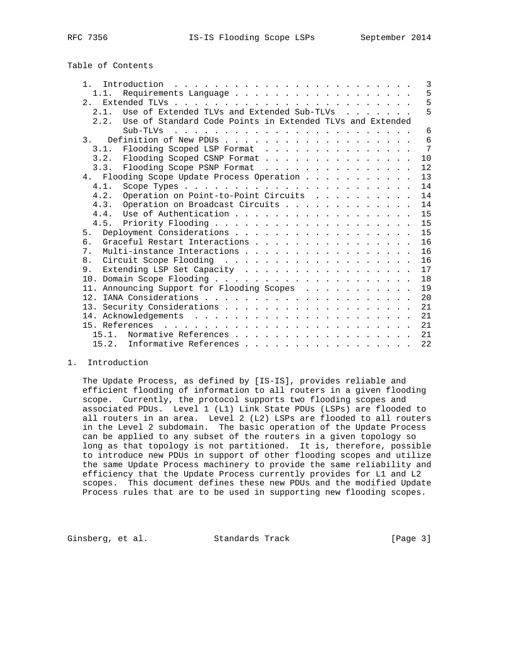Table of Contents

| $\mathbf{1}$<br>Introduction $\ldots \ldots \ldots \ldots \ldots \ldots \ldots \ldots$ |  |  |  |  | 3  |
|----------------------------------------------------------------------------------------|--|--|--|--|----|
| 1.1.                                                                                   |  |  |  |  | 5  |
|                                                                                        |  |  |  |  | 5  |
| Use of Extended TLVs and Extended Sub-TLVs<br>2.1.                                     |  |  |  |  | 5  |
| Use of Standard Code Points in Extended TLVs and Extended<br>2.2.                      |  |  |  |  |    |
| Sub-TLVs                                                                               |  |  |  |  | 6  |
| 3.                                                                                     |  |  |  |  | 6  |
| Flooding Scoped LSP Format<br>3.1.                                                     |  |  |  |  | 7  |
| 3.2. Flooding Scoped CSNP Format                                                       |  |  |  |  | 10 |
| Flooding Scope PSNP Format<br>3.3.                                                     |  |  |  |  | 12 |
| 4. Flooding Scope Update Process Operation                                             |  |  |  |  | 13 |
| 4.1.                                                                                   |  |  |  |  | 14 |
| Operation on Point-to-Point Circuits<br>4.2.                                           |  |  |  |  | 14 |
| 4.3.<br>Operation on Broadcast Circuits                                                |  |  |  |  | 14 |
| Use of Authentication<br>4 4                                                           |  |  |  |  | 15 |
|                                                                                        |  |  |  |  | 15 |
| 5.                                                                                     |  |  |  |  | 15 |
| Graceful Restart Interactions<br>б.                                                    |  |  |  |  | 16 |
| Multi-instance Interactions<br>7 <sub>1</sub>                                          |  |  |  |  | 16 |
| 8.                                                                                     |  |  |  |  | 16 |
| Extending LSP Set Capacity<br>9.                                                       |  |  |  |  | 17 |
|                                                                                        |  |  |  |  | 18 |
| 11. Announcing Support for Flooding Scopes                                             |  |  |  |  | 19 |
|                                                                                        |  |  |  |  | 20 |
|                                                                                        |  |  |  |  | 21 |
|                                                                                        |  |  |  |  | 21 |
|                                                                                        |  |  |  |  | 21 |
| 15.1.                                                                                  |  |  |  |  | 21 |
| 15.2. Informative References                                                           |  |  |  |  | 22 |

### 1. Introduction

 The Update Process, as defined by [IS-IS], provides reliable and efficient flooding of information to all routers in a given flooding scope. Currently, the protocol supports two flooding scopes and associated PDUs. Level 1 (L1) Link State PDUs (LSPs) are flooded to all routers in an area. Level 2 (L2) LSPs are flooded to all routers in the Level 2 subdomain. The basic operation of the Update Process can be applied to any subset of the routers in a given topology so long as that topology is not partitioned. It is, therefore, possible to introduce new PDUs in support of other flooding scopes and utilize the same Update Process machinery to provide the same reliability and efficiency that the Update Process currently provides for L1 and L2 scopes. This document defines these new PDUs and the modified Update Process rules that are to be used in supporting new flooding scopes.

Ginsberg, et al. Standards Track [Page 3]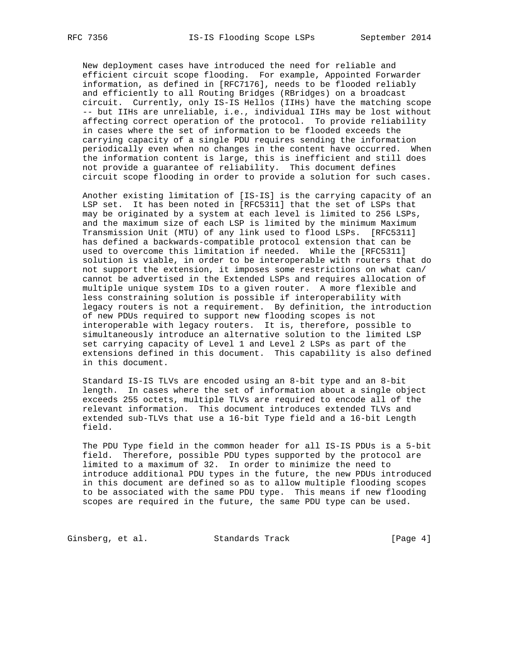New deployment cases have introduced the need for reliable and efficient circuit scope flooding. For example, Appointed Forwarder information, as defined in [RFC7176], needs to be flooded reliably and efficiently to all Routing Bridges (RBridges) on a broadcast circuit. Currently, only IS-IS Hellos (IIHs) have the matching scope -- but IIHs are unreliable, i.e., individual IIHs may be lost without affecting correct operation of the protocol. To provide reliability in cases where the set of information to be flooded exceeds the carrying capacity of a single PDU requires sending the information periodically even when no changes in the content have occurred. When the information content is large, this is inefficient and still does not provide a guarantee of reliability. This document defines circuit scope flooding in order to provide a solution for such cases.

 Another existing limitation of [IS-IS] is the carrying capacity of an LSP set. It has been noted in [RFC5311] that the set of LSPs that may be originated by a system at each level is limited to 256 LSPs, and the maximum size of each LSP is limited by the minimum Maximum Transmission Unit (MTU) of any link used to flood LSPs. [RFC5311] has defined a backwards-compatible protocol extension that can be used to overcome this limitation if needed. While the [RFC5311] solution is viable, in order to be interoperable with routers that do not support the extension, it imposes some restrictions on what can/ cannot be advertised in the Extended LSPs and requires allocation of multiple unique system IDs to a given router. A more flexible and less constraining solution is possible if interoperability with legacy routers is not a requirement. By definition, the introduction of new PDUs required to support new flooding scopes is not interoperable with legacy routers. It is, therefore, possible to simultaneously introduce an alternative solution to the limited LSP set carrying capacity of Level 1 and Level 2 LSPs as part of the extensions defined in this document. This capability is also defined in this document.

 Standard IS-IS TLVs are encoded using an 8-bit type and an 8-bit length. In cases where the set of information about a single object exceeds 255 octets, multiple TLVs are required to encode all of the relevant information. This document introduces extended TLVs and extended sub-TLVs that use a 16-bit Type field and a 16-bit Length field.

 The PDU Type field in the common header for all IS-IS PDUs is a 5-bit field. Therefore, possible PDU types supported by the protocol are limited to a maximum of 32. In order to minimize the need to introduce additional PDU types in the future, the new PDUs introduced in this document are defined so as to allow multiple flooding scopes to be associated with the same PDU type. This means if new flooding scopes are required in the future, the same PDU type can be used.

Ginsberg, et al. Standards Track [Page 4]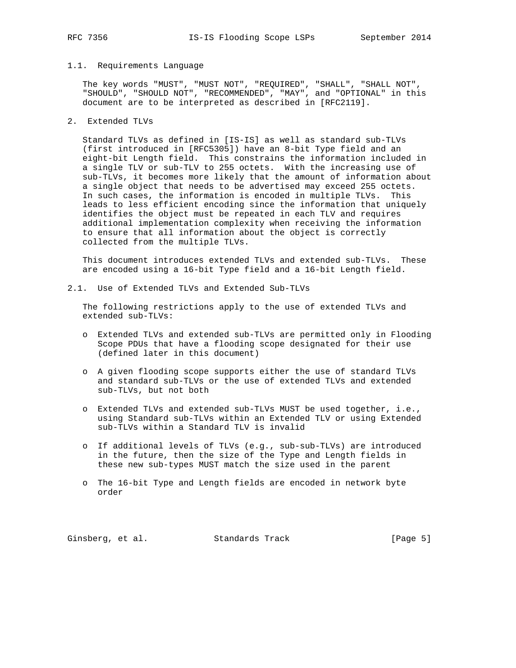### 1.1. Requirements Language

 The key words "MUST", "MUST NOT", "REQUIRED", "SHALL", "SHALL NOT", "SHOULD", "SHOULD NOT", "RECOMMENDED", "MAY", and "OPTIONAL" in this document are to be interpreted as described in [RFC2119].

### 2. Extended TLVs

 Standard TLVs as defined in [IS-IS] as well as standard sub-TLVs (first introduced in [RFC5305]) have an 8-bit Type field and an eight-bit Length field. This constrains the information included in a single TLV or sub-TLV to 255 octets. With the increasing use of sub-TLVs, it becomes more likely that the amount of information about a single object that needs to be advertised may exceed 255 octets. In such cases, the information is encoded in multiple TLVs. This leads to less efficient encoding since the information that uniquely identifies the object must be repeated in each TLV and requires additional implementation complexity when receiving the information to ensure that all information about the object is correctly collected from the multiple TLVs.

 This document introduces extended TLVs and extended sub-TLVs. These are encoded using a 16-bit Type field and a 16-bit Length field.

2.1. Use of Extended TLVs and Extended Sub-TLVs

 The following restrictions apply to the use of extended TLVs and extended sub-TLVs:

- o Extended TLVs and extended sub-TLVs are permitted only in Flooding Scope PDUs that have a flooding scope designated for their use (defined later in this document)
- o A given flooding scope supports either the use of standard TLVs and standard sub-TLVs or the use of extended TLVs and extended sub-TLVs, but not both
- o Extended TLVs and extended sub-TLVs MUST be used together, i.e., using Standard sub-TLVs within an Extended TLV or using Extended sub-TLVs within a Standard TLV is invalid
- o If additional levels of TLVs (e.g., sub-sub-TLVs) are introduced in the future, then the size of the Type and Length fields in these new sub-types MUST match the size used in the parent
- o The 16-bit Type and Length fields are encoded in network byte order

Ginsberg, et al. Standards Track [Page 5]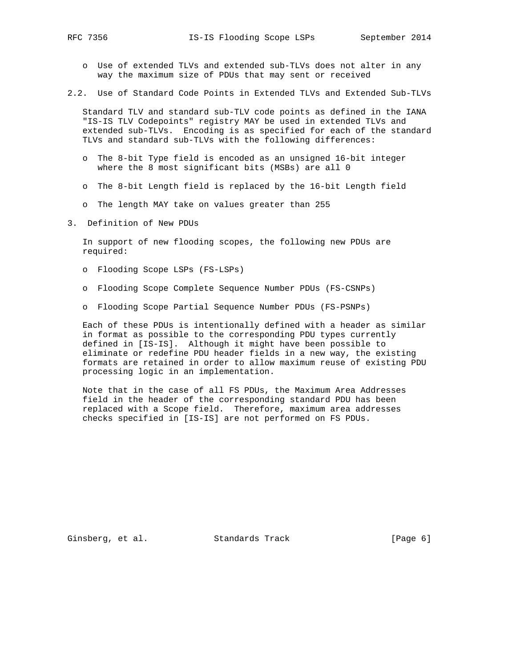- o Use of extended TLVs and extended sub-TLVs does not alter in any way the maximum size of PDUs that may sent or received
- 2.2. Use of Standard Code Points in Extended TLVs and Extended Sub-TLVs

 Standard TLV and standard sub-TLV code points as defined in the IANA "IS-IS TLV Codepoints" registry MAY be used in extended TLVs and extended sub-TLVs. Encoding is as specified for each of the standard TLVs and standard sub-TLVs with the following differences:

- o The 8-bit Type field is encoded as an unsigned 16-bit integer where the 8 most significant bits (MSBs) are all 0
- o The 8-bit Length field is replaced by the 16-bit Length field
- o The length MAY take on values greater than 255
- 3. Definition of New PDUs

 In support of new flooding scopes, the following new PDUs are required:

- o Flooding Scope LSPs (FS-LSPs)
- o Flooding Scope Complete Sequence Number PDUs (FS-CSNPs)
- o Flooding Scope Partial Sequence Number PDUs (FS-PSNPs)

 Each of these PDUs is intentionally defined with a header as similar in format as possible to the corresponding PDU types currently defined in [IS-IS]. Although it might have been possible to eliminate or redefine PDU header fields in a new way, the existing formats are retained in order to allow maximum reuse of existing PDU processing logic in an implementation.

 Note that in the case of all FS PDUs, the Maximum Area Addresses field in the header of the corresponding standard PDU has been replaced with a Scope field. Therefore, maximum area addresses checks specified in [IS-IS] are not performed on FS PDUs.

Ginsberg, et al. Standards Track (Page 6)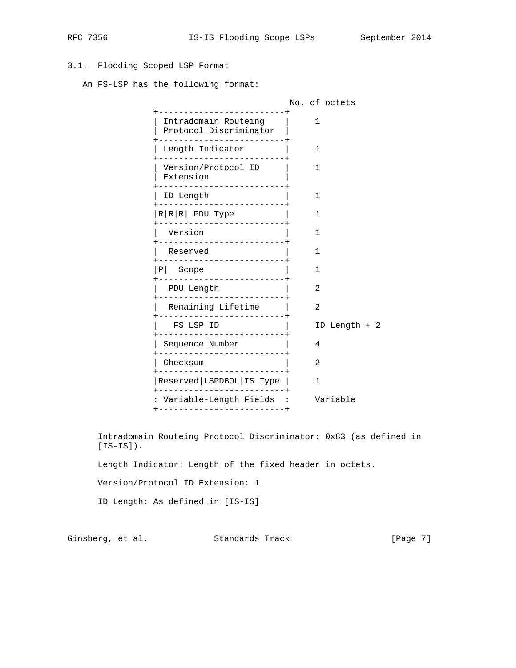# 3.1. Flooding Scoped LSP Format

An FS-LSP has the following format:

|           |                                                                           | No. of octets    |
|-----------|---------------------------------------------------------------------------|------------------|
|           | Intradomain Routeing<br>Protocol Discriminator<br>_______________________ | 1                |
|           | Length Indicator<br>--------------------------                            | 1                |
|           | Version/Protocol ID<br>Extension<br>----------------------+               | 1                |
|           | ID Length                                                                 | 1                |
|           | $R R R $ PDU Type<br>------------------------+                            | 1                |
| Version   | -----------------------                                                   | 1                |
| Reserved  | -------------------------                                                 | 1                |
| $P$ Scope |                                                                           | 1                |
|           | PDU Length<br>-----------------------                                     | 2                |
|           | Remaining Lifetime<br>-------------------------                           | 2                |
|           | FS LSP ID                                                                 | Length + 2<br>ID |
|           | Sequence Number<br>---------------------------                            | 4                |
| Checksum  | <br> ------------------                                                   | 2                |
|           | Reserved   LSPDBOL   IS Type                                              | 1                |
|           | : Variable-Length Fields :<br>------------------------+                   | Variable         |
|           |                                                                           |                  |

 Intradomain Routeing Protocol Discriminator: 0x83 (as defined in  $[IS-IS]$ ).

Length Indicator: Length of the fixed header in octets.

Version/Protocol ID Extension: 1

ID Length: As defined in [IS-IS].

Ginsberg, et al. Standards Track [Page 7]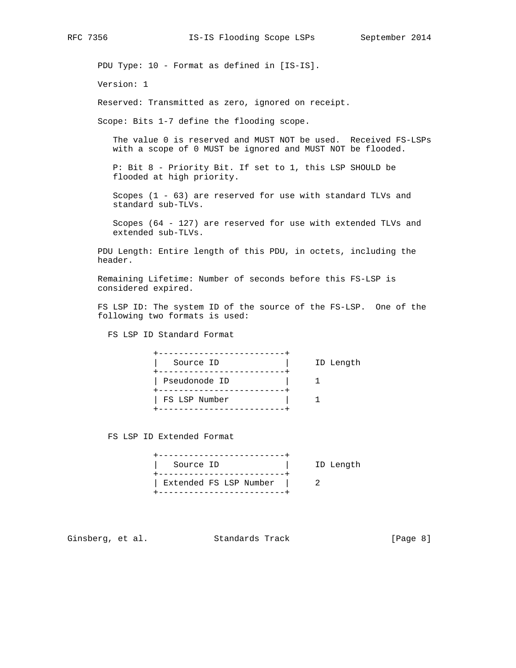PDU Type: 10 - Format as defined in [IS-IS].

Version: 1

Reserved: Transmitted as zero, ignored on receipt.

Scope: Bits 1-7 define the flooding scope.

 The value 0 is reserved and MUST NOT be used. Received FS-LSPs with a scope of 0 MUST be ignored and MUST NOT be flooded.

 P: Bit 8 - Priority Bit. If set to 1, this LSP SHOULD be flooded at high priority.

 Scopes (1 - 63) are reserved for use with standard TLVs and standard sub-TLVs.

 Scopes (64 - 127) are reserved for use with extended TLVs and extended sub-TLVs.

 PDU Length: Entire length of this PDU, in octets, including the header.

 Remaining Lifetime: Number of seconds before this FS-LSP is considered expired.

 FS LSP ID: The system ID of the source of the FS-LSP. One of the following two formats is used:

FS LSP ID Standard Format

| Source ID     | ID Length |
|---------------|-----------|
| Pseudonode ID |           |
| FS LSP Number |           |

FS LSP ID Extended Format

 +-------------------------+ | Source ID | ID Length +-------------------------+ | Extended FS LSP Number | 2 +-------------------------+

Ginsberg, et al. Standards Track (Page 8)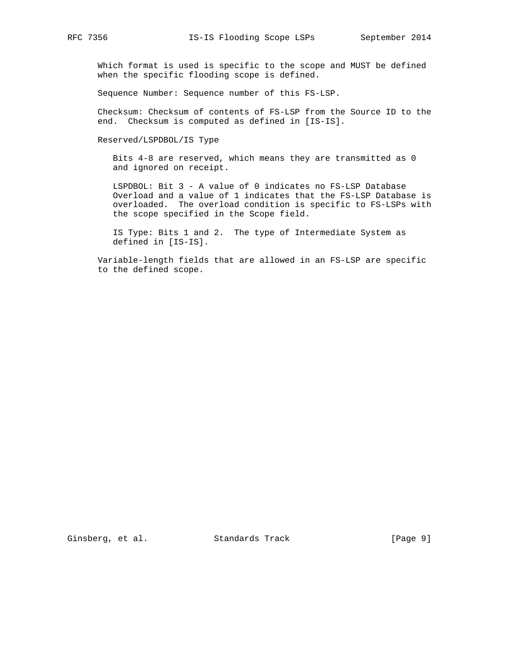Which format is used is specific to the scope and MUST be defined when the specific flooding scope is defined.

Sequence Number: Sequence number of this FS-LSP.

 Checksum: Checksum of contents of FS-LSP from the Source ID to the end. Checksum is computed as defined in [IS-IS].

Reserved/LSPDBOL/IS Type

 Bits 4-8 are reserved, which means they are transmitted as 0 and ignored on receipt.

 LSPDBOL: Bit 3 - A value of 0 indicates no FS-LSP Database Overload and a value of 1 indicates that the FS-LSP Database is overloaded. The overload condition is specific to FS-LSPs with the scope specified in the Scope field.

 IS Type: Bits 1 and 2. The type of Intermediate System as defined in [IS-IS].

 Variable-length fields that are allowed in an FS-LSP are specific to the defined scope.

Ginsberg, et al. Standards Track [Page 9]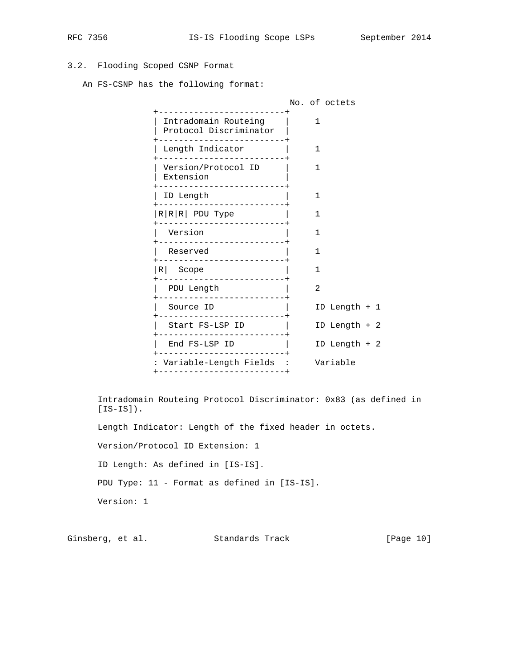# 3.2. Flooding Scoped CSNP Format

An FS-CSNP has the following format:

|                                                                |   | No. of octets  |  |
|----------------------------------------------------------------|---|----------------|--|
| Intradomain Routeing<br>Protocol Discriminator                 | 1 |                |  |
| Length Indicator                                               | 1 |                |  |
| Version/Protocol ID<br>Extension<br>-------------------------- | 1 |                |  |
| ID Length<br>--------------------------                        | 1 |                |  |
| $R R $ PDU Type                                                | 1 |                |  |
| Version<br>---------------------------                         | 1 |                |  |
| Reserved<br>__________________________                         | 1 |                |  |
| $R$ Scope                                                      | 1 |                |  |
| PDU Length                                                     | 2 |                |  |
| Source ID                                                      |   | ID Length $+1$ |  |
| Start FS-LSP ID<br>------------------------ <b>-</b>           |   | ID Length + 2  |  |
| End FS-LSP ID<br>--------------------------                    |   | ID Length $+2$ |  |
| : Variable-Length Fields :<br>+--------------------------      |   | Variable       |  |
|                                                                |   |                |  |

 Intradomain Routeing Protocol Discriminator: 0x83 (as defined in  $[IS-IS]$ .

Length Indicator: Length of the fixed header in octets.

Version/Protocol ID Extension: 1

ID Length: As defined in [IS-IS].

PDU Type: 11 - Format as defined in [IS-IS].

Version: 1

Ginsberg, et al. Standards Track [Page 10]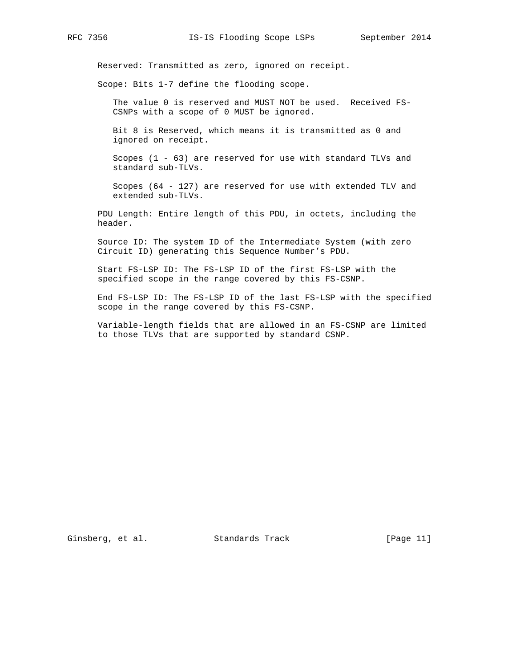Reserved: Transmitted as zero, ignored on receipt.

Scope: Bits 1-7 define the flooding scope.

 The value 0 is reserved and MUST NOT be used. Received FS- CSNPs with a scope of 0 MUST be ignored.

 Bit 8 is Reserved, which means it is transmitted as 0 and ignored on receipt.

 Scopes (1 - 63) are reserved for use with standard TLVs and standard sub-TLVs.

 Scopes (64 - 127) are reserved for use with extended TLV and extended sub-TLVs.

 PDU Length: Entire length of this PDU, in octets, including the header.

 Source ID: The system ID of the Intermediate System (with zero Circuit ID) generating this Sequence Number's PDU.

 Start FS-LSP ID: The FS-LSP ID of the first FS-LSP with the specified scope in the range covered by this FS-CSNP.

 End FS-LSP ID: The FS-LSP ID of the last FS-LSP with the specified scope in the range covered by this FS-CSNP.

 Variable-length fields that are allowed in an FS-CSNP are limited to those TLVs that are supported by standard CSNP.

Ginsberg, et al. Standards Track [Page 11]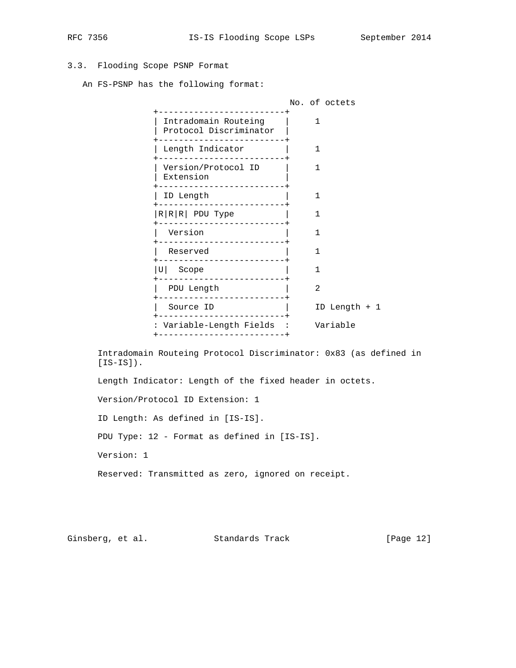# 3.3. Flooding Scope PSNP Format

An FS-PSNP has the following format:

|                                                           | No. of octets  |
|-----------------------------------------------------------|----------------|
| Intradomain Routeing<br>Protocol Discriminator            | 1              |
| Length Indicator                                          | 1              |
| Version/Protocol ID<br>Extension                          | 1              |
| ID Length                                                 | 1              |
| $R R $ PDU Type                                           | 1              |
| Version                                                   | 1              |
| Reserved<br>--------------                                | 1              |
| $ U $ Scope                                               | 1              |
| PDU Length<br>. _ _ _ _ _ _ _ _ _ _ _ _ _ _ _ _           | 2              |
| Source ID<br>______________________                       | ID Length $+1$ |
| Variable-Length Fields :<br>-------------------<br>$---+$ | Variable       |
|                                                           |                |

 Intradomain Routeing Protocol Discriminator: 0x83 (as defined in  $[IS-IS]$ ).

Length Indicator: Length of the fixed header in octets.

Version/Protocol ID Extension: 1

ID Length: As defined in [IS-IS].

PDU Type: 12 - Format as defined in [IS-IS].

Version: 1

Reserved: Transmitted as zero, ignored on receipt.

Ginsberg, et al. Standards Track [Page 12]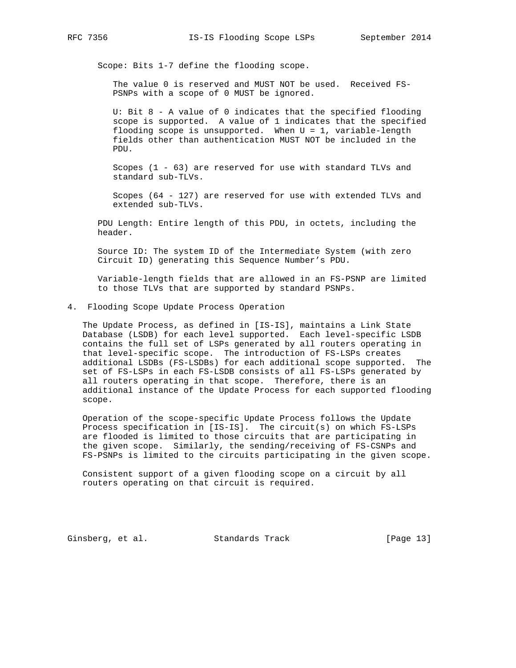Scope: Bits 1-7 define the flooding scope.

 The value 0 is reserved and MUST NOT be used. Received FS- PSNPs with a scope of 0 MUST be ignored.

 U: Bit 8 - A value of 0 indicates that the specified flooding scope is supported. A value of 1 indicates that the specified flooding scope is unsupported. When U = 1, variable-length fields other than authentication MUST NOT be included in the PDU.

 Scopes (1 - 63) are reserved for use with standard TLVs and standard sub-TLVs.

 Scopes (64 - 127) are reserved for use with extended TLVs and extended sub-TLVs.

 PDU Length: Entire length of this PDU, in octets, including the header.

 Source ID: The system ID of the Intermediate System (with zero Circuit ID) generating this Sequence Number's PDU.

 Variable-length fields that are allowed in an FS-PSNP are limited to those TLVs that are supported by standard PSNPs.

4. Flooding Scope Update Process Operation

 The Update Process, as defined in [IS-IS], maintains a Link State Database (LSDB) for each level supported. Each level-specific LSDB contains the full set of LSPs generated by all routers operating in that level-specific scope. The introduction of FS-LSPs creates additional LSDBs (FS-LSDBs) for each additional scope supported. The set of FS-LSPs in each FS-LSDB consists of all FS-LSPs generated by all routers operating in that scope. Therefore, there is an additional instance of the Update Process for each supported flooding scope.

 Operation of the scope-specific Update Process follows the Update Process specification in [IS-IS]. The circuit(s) on which FS-LSPs are flooded is limited to those circuits that are participating in the given scope. Similarly, the sending/receiving of FS-CSNPs and FS-PSNPs is limited to the circuits participating in the given scope.

 Consistent support of a given flooding scope on a circuit by all routers operating on that circuit is required.

Ginsberg, et al. Standards Track [Page 13]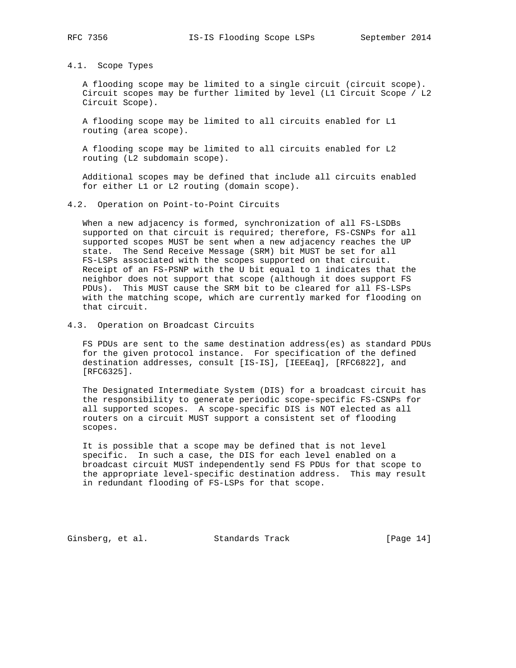### 4.1. Scope Types

 A flooding scope may be limited to a single circuit (circuit scope). Circuit scopes may be further limited by level (L1 Circuit Scope / L2 Circuit Scope).

 A flooding scope may be limited to all circuits enabled for L1 routing (area scope).

 A flooding scope may be limited to all circuits enabled for L2 routing (L2 subdomain scope).

 Additional scopes may be defined that include all circuits enabled for either L1 or L2 routing (domain scope).

### 4.2. Operation on Point-to-Point Circuits

 When a new adjacency is formed, synchronization of all FS-LSDBs supported on that circuit is required; therefore, FS-CSNPs for all supported scopes MUST be sent when a new adjacency reaches the UP state. The Send Receive Message (SRM) bit MUST be set for all FS-LSPs associated with the scopes supported on that circuit. Receipt of an FS-PSNP with the U bit equal to 1 indicates that the neighbor does not support that scope (although it does support FS PDUs). This MUST cause the SRM bit to be cleared for all FS-LSPs with the matching scope, which are currently marked for flooding on that circuit.

4.3. Operation on Broadcast Circuits

 FS PDUs are sent to the same destination address(es) as standard PDUs for the given protocol instance. For specification of the defined destination addresses, consult [IS-IS], [IEEEaq], [RFC6822], and [RFC6325].

 The Designated Intermediate System (DIS) for a broadcast circuit has the responsibility to generate periodic scope-specific FS-CSNPs for all supported scopes. A scope-specific DIS is NOT elected as all routers on a circuit MUST support a consistent set of flooding scopes.

 It is possible that a scope may be defined that is not level specific. In such a case, the DIS for each level enabled on a broadcast circuit MUST independently send FS PDUs for that scope to the appropriate level-specific destination address. This may result in redundant flooding of FS-LSPs for that scope.

Ginsberg, et al. Standards Track [Page 14]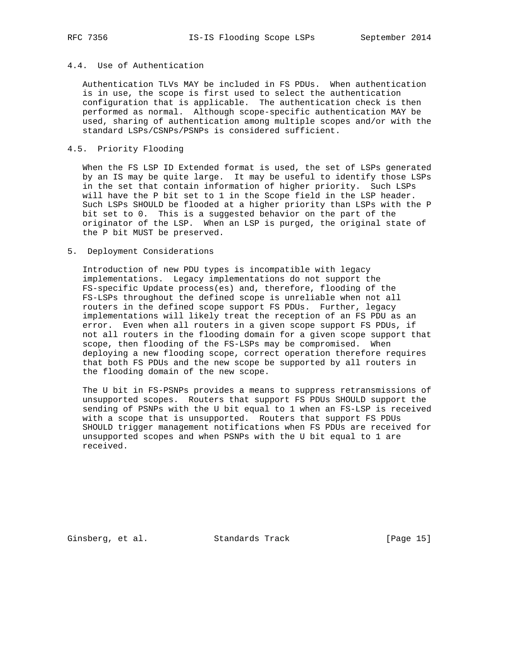## 4.4. Use of Authentication

 Authentication TLVs MAY be included in FS PDUs. When authentication is in use, the scope is first used to select the authentication configuration that is applicable. The authentication check is then performed as normal. Although scope-specific authentication MAY be used, sharing of authentication among multiple scopes and/or with the standard LSPs/CSNPs/PSNPs is considered sufficient.

### 4.5. Priority Flooding

 When the FS LSP ID Extended format is used, the set of LSPs generated by an IS may be quite large. It may be useful to identify those LSPs in the set that contain information of higher priority. Such LSPs will have the P bit set to 1 in the Scope field in the LSP header. Such LSPs SHOULD be flooded at a higher priority than LSPs with the P bit set to 0. This is a suggested behavior on the part of the originator of the LSP. When an LSP is purged, the original state of the P bit MUST be preserved.

#### 5. Deployment Considerations

 Introduction of new PDU types is incompatible with legacy implementations. Legacy implementations do not support the FS-specific Update process(es) and, therefore, flooding of the FS-LSPs throughout the defined scope is unreliable when not all routers in the defined scope support FS PDUs. Further, legacy implementations will likely treat the reception of an FS PDU as an error. Even when all routers in a given scope support FS PDUs, if not all routers in the flooding domain for a given scope support that scope, then flooding of the FS-LSPs may be compromised. When deploying a new flooding scope, correct operation therefore requires that both FS PDUs and the new scope be supported by all routers in the flooding domain of the new scope.

 The U bit in FS-PSNPs provides a means to suppress retransmissions of unsupported scopes. Routers that support FS PDUs SHOULD support the sending of PSNPs with the U bit equal to 1 when an FS-LSP is received with a scope that is unsupported. Routers that support FS PDUs SHOULD trigger management notifications when FS PDUs are received for unsupported scopes and when PSNPs with the U bit equal to 1 are received.

Ginsberg, et al. Standards Track [Page 15]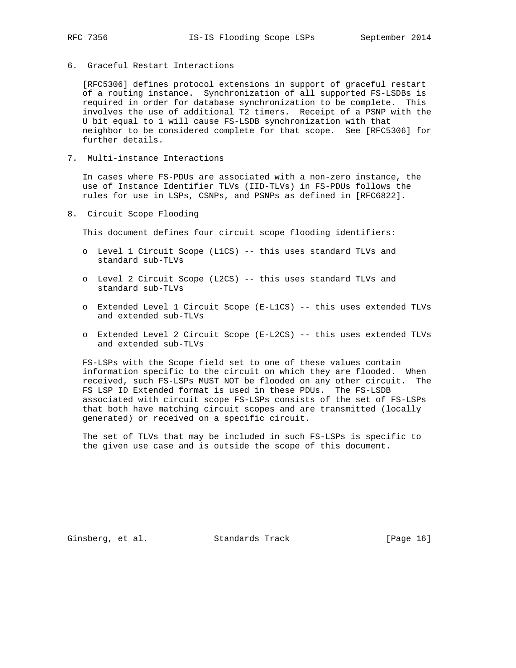- 
- 6. Graceful Restart Interactions

 [RFC5306] defines protocol extensions in support of graceful restart of a routing instance. Synchronization of all supported FS-LSDBs is required in order for database synchronization to be complete. This involves the use of additional T2 timers. Receipt of a PSNP with the U bit equal to 1 will cause FS-LSDB synchronization with that neighbor to be considered complete for that scope. See [RFC5306] for further details.

7. Multi-instance Interactions

 In cases where FS-PDUs are associated with a non-zero instance, the use of Instance Identifier TLVs (IID-TLVs) in FS-PDUs follows the rules for use in LSPs, CSNPs, and PSNPs as defined in [RFC6822].

8. Circuit Scope Flooding

This document defines four circuit scope flooding identifiers:

- o Level 1 Circuit Scope (L1CS) -- this uses standard TLVs and standard sub-TLVs
- o Level 2 Circuit Scope (L2CS) -- this uses standard TLVs and standard sub-TLVs
- o Extended Level 1 Circuit Scope (E-L1CS) -- this uses extended TLVs and extended sub-TLVs
- o Extended Level 2 Circuit Scope (E-L2CS) -- this uses extended TLVs and extended sub-TLVs

 FS-LSPs with the Scope field set to one of these values contain information specific to the circuit on which they are flooded. When received, such FS-LSPs MUST NOT be flooded on any other circuit. The FS LSP ID Extended format is used in these PDUs. The FS-LSDB associated with circuit scope FS-LSPs consists of the set of FS-LSPs that both have matching circuit scopes and are transmitted (locally generated) or received on a specific circuit.

 The set of TLVs that may be included in such FS-LSPs is specific to the given use case and is outside the scope of this document.

Ginsberg, et al. Standards Track [Page 16]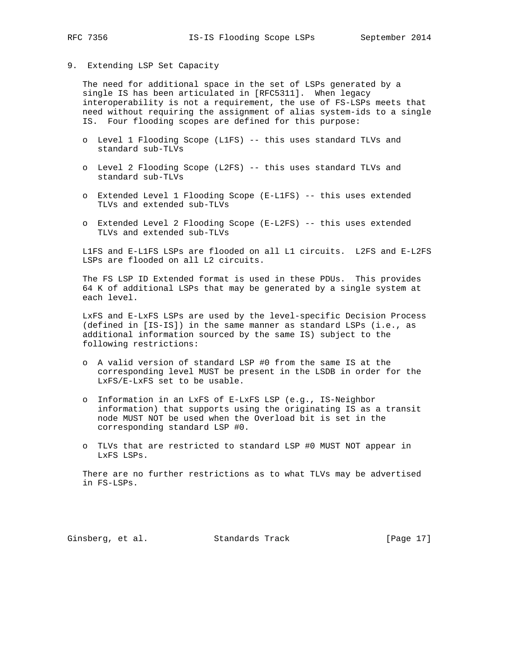### 9. Extending LSP Set Capacity

 The need for additional space in the set of LSPs generated by a single IS has been articulated in [RFC5311]. When legacy interoperability is not a requirement, the use of FS-LSPs meets that need without requiring the assignment of alias system-ids to a single IS. Four flooding scopes are defined for this purpose:

- o Level 1 Flooding Scope (L1FS) -- this uses standard TLVs and standard sub-TLVs
- o Level 2 Flooding Scope (L2FS) -- this uses standard TLVs and standard sub-TLVs
- o Extended Level 1 Flooding Scope (E-L1FS) -- this uses extended TLVs and extended sub-TLVs
- o Extended Level 2 Flooding Scope (E-L2FS) -- this uses extended TLVs and extended sub-TLVs

 L1FS and E-L1FS LSPs are flooded on all L1 circuits. L2FS and E-L2FS LSPs are flooded on all L2 circuits.

 The FS LSP ID Extended format is used in these PDUs. This provides 64 K of additional LSPs that may be generated by a single system at each level.

 LxFS and E-LxFS LSPs are used by the level-specific Decision Process (defined in [IS-IS]) in the same manner as standard LSPs (i.e., as additional information sourced by the same IS) subject to the following restrictions:

- o A valid version of standard LSP #0 from the same IS at the corresponding level MUST be present in the LSDB in order for the LxFS/E-LxFS set to be usable.
- o Information in an LxFS of E-LxFS LSP (e.g., IS-Neighbor information) that supports using the originating IS as a transit node MUST NOT be used when the Overload bit is set in the corresponding standard LSP #0.
- o TLVs that are restricted to standard LSP #0 MUST NOT appear in LxFS LSPs.

 There are no further restrictions as to what TLVs may be advertised in FS-LSPs.

Ginsberg, et al. Standards Track [Page 17]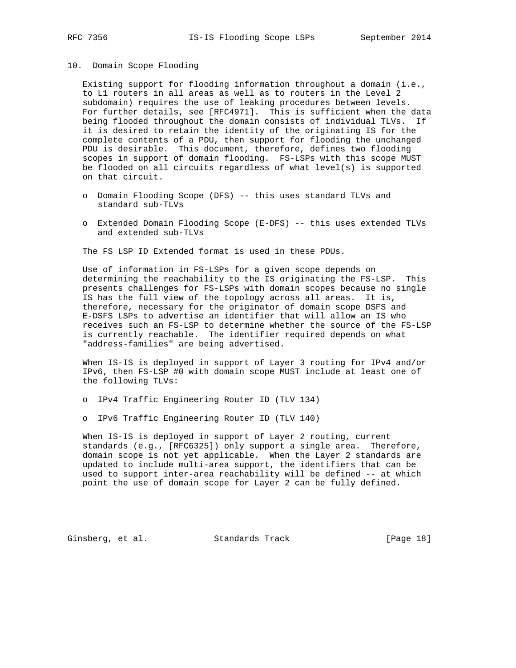#### 10. Domain Scope Flooding

 Existing support for flooding information throughout a domain (i.e., to L1 routers in all areas as well as to routers in the Level 2 subdomain) requires the use of leaking procedures between levels. For further details, see [RFC4971]. This is sufficient when the data being flooded throughout the domain consists of individual TLVs. If it is desired to retain the identity of the originating IS for the complete contents of a PDU, then support for flooding the unchanged PDU is desirable. This document, therefore, defines two flooding scopes in support of domain flooding. FS-LSPs with this scope MUST be flooded on all circuits regardless of what level(s) is supported on that circuit.

- o Domain Flooding Scope (DFS) -- this uses standard TLVs and standard sub-TLVs
- o Extended Domain Flooding Scope (E-DFS) -- this uses extended TLVs and extended sub-TLVs

The FS LSP ID Extended format is used in these PDUs.

 Use of information in FS-LSPs for a given scope depends on determining the reachability to the IS originating the FS-LSP. This presents challenges for FS-LSPs with domain scopes because no single IS has the full view of the topology across all areas. It is, therefore, necessary for the originator of domain scope DSFS and E-DSFS LSPs to advertise an identifier that will allow an IS who receives such an FS-LSP to determine whether the source of the FS-LSP is currently reachable. The identifier required depends on what "address-families" are being advertised.

 When IS-IS is deployed in support of Layer 3 routing for IPv4 and/or IPv6, then FS-LSP #0 with domain scope MUST include at least one of the following TLVs:

- o IPv4 Traffic Engineering Router ID (TLV 134)
- o IPv6 Traffic Engineering Router ID (TLV 140)

 When IS-IS is deployed in support of Layer 2 routing, current standards (e.g., [RFC6325]) only support a single area. Therefore, domain scope is not yet applicable. When the Layer 2 standards are updated to include multi-area support, the identifiers that can be used to support inter-area reachability will be defined -- at which point the use of domain scope for Layer 2 can be fully defined.

Ginsberg, et al. Standards Track [Page 18]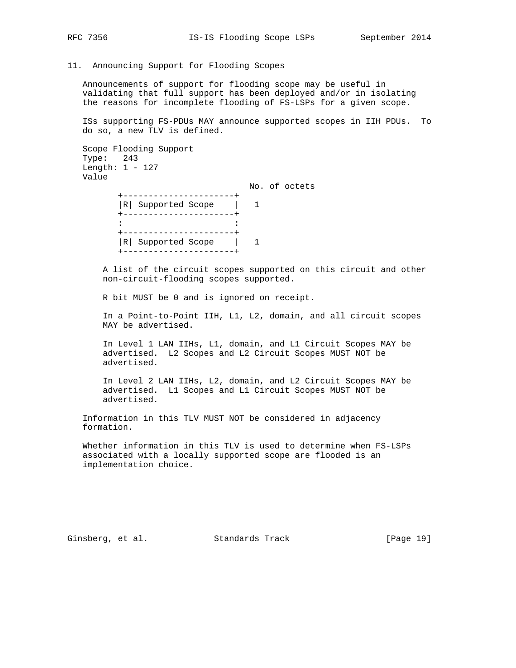11. Announcing Support for Flooding Scopes

 Announcements of support for flooding scope may be useful in validating that full support has been deployed and/or in isolating the reasons for incomplete flooding of FS-LSPs for a given scope.

 ISs supporting FS-PDUs MAY announce supported scopes in IIH PDUs. To do so, a new TLV is defined.

```
 Scope Flooding Support
Type: 243
Length: 1 - 127
Value
```
 No. of octets +----------------------+ |R| Supported Scope | 1

 +----------------------+ the state of the state of the state of the state of the state of the state of the +----------------------+ |R| Supported Scope | 1 +----------------------+

> A list of the circuit scopes supported on this circuit and other non-circuit-flooding scopes supported.

R bit MUST be 0 and is ignored on receipt.

 In a Point-to-Point IIH, L1, L2, domain, and all circuit scopes MAY be advertised.

 In Level 1 LAN IIHs, L1, domain, and L1 Circuit Scopes MAY be advertised. L2 Scopes and L2 Circuit Scopes MUST NOT be advertised.

 In Level 2 LAN IIHs, L2, domain, and L2 Circuit Scopes MAY be advertised. L1 Scopes and L1 Circuit Scopes MUST NOT be advertised.

 Information in this TLV MUST NOT be considered in adjacency formation.

 Whether information in this TLV is used to determine when FS-LSPs associated with a locally supported scope are flooded is an implementation choice.

Ginsberg, et al. Standards Track [Page 19]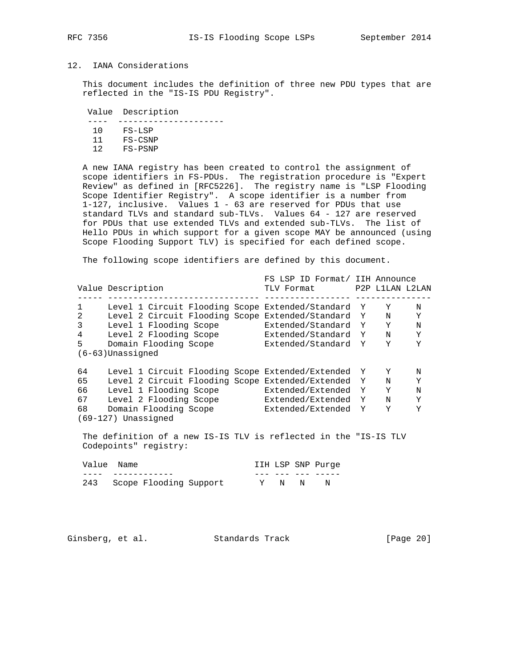## 12. IANA Considerations

 This document includes the definition of three new PDU types that are reflected in the "IS-IS PDU Registry".

Value Description

| 1 N | FS-LSP    |
|-----|-----------|
| 11  | FS-CSNP   |
| 12  | $FS-PSNP$ |

 A new IANA registry has been created to control the assignment of scope identifiers in FS-PDUs. The registration procedure is "Expert Review" as defined in [RFC5226]. The registry name is "LSP Flooding Scope Identifier Registry". A scope identifier is a number from 1-127, inclusive. Values 1 - 63 are reserved for PDUs that use standard TLVs and standard sub-TLVs. Values 64 - 127 are reserved for PDUs that use extended TLVs and extended sub-TLVs. The list of Hello PDUs in which support for a given scope MAY be announced (using Scope Flooding Support TLV) is specified for each defined scope.

The following scope identifiers are defined by this document.

|                |                                                                     | FS LSP ID Format/ IIH Announce |                 |   |
|----------------|---------------------------------------------------------------------|--------------------------------|-----------------|---|
|                | Value Description                                                   | TLV Format                     | P2P L1LAN L2LAN |   |
| 1              | Level 1 Circuit Flooding Scope Extended/Standard Y                  |                                | Y               | N |
| 2              | Level 2 Circuit Flooding Scope Extended/Standard Y                  |                                | N               | Y |
| 3              | Level 1 Flooding Scope                                              | Extended/Standard Y            | Υ               | N |
| $\overline{4}$ | Level 2 Flooding Scope                                              | Extended/Standard Y            | N               | Υ |
| 5              | Domain Flooding Scope                                               | Extended/Standard Y            | Υ               | Υ |
|                | $(6-63)$ Unassigned                                                 |                                |                 |   |
| 64             | Level 1 Circuit Flooding Scope Extended/Extended Y                  |                                | Y               | N |
| 65             | Level 2 Circuit Flooding Scope Extended/Extended Y                  |                                | N               | Y |
| 66             | Level 1 Flooding Scope                                              | Extended/Extended Y            | Y               | N |
| 67             | Level 2 Flooding Scope                                              | Extended/Extended Y            | N               | Y |
| 68             | Domain Flooding Scope                                               | Extended/Extended Y            | Υ               | Υ |
|                | (69-127) Unassigned                                                 |                                |                 |   |
|                | The definition of a now IC IC TILL is maticated in the UIC IC TUILL |                                |                 |   |

 The definition of a new IS-IS TLV is reflected in the "IS-IS TLV Codepoints" registry:

|  | Value Name                 |       | IIH LSP SNP Purge |
|--|----------------------------|-------|-------------------|
|  |                            |       |                   |
|  | 243 Scope Flooding Support | Y N N |                   |

Ginsberg, et al. Standards Track [Page 20]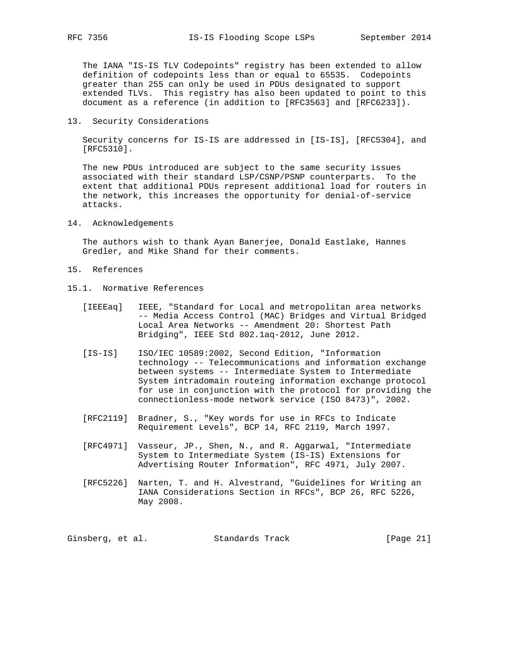The IANA "IS-IS TLV Codepoints" registry has been extended to allow definition of codepoints less than or equal to 65535. Codepoints greater than 255 can only be used in PDUs designated to support extended TLVs. This registry has also been updated to point to this document as a reference (in addition to [RFC3563] and [RFC6233]).

13. Security Considerations

 Security concerns for IS-IS are addressed in [IS-IS], [RFC5304], and [RFC5310].

 The new PDUs introduced are subject to the same security issues associated with their standard LSP/CSNP/PSNP counterparts. To the extent that additional PDUs represent additional load for routers in the network, this increases the opportunity for denial-of-service attacks.

14. Acknowledgements

 The authors wish to thank Ayan Banerjee, Donald Eastlake, Hannes Gredler, and Mike Shand for their comments.

- 15. References
- 15.1. Normative References
	- [IEEEaq] IEEE, "Standard for Local and metropolitan area networks -- Media Access Control (MAC) Bridges and Virtual Bridged Local Area Networks -- Amendment 20: Shortest Path Bridging", IEEE Std 802.1aq-2012, June 2012.
	- [IS-IS] ISO/IEC 10589:2002, Second Edition, "Information technology -- Telecommunications and information exchange between systems -- Intermediate System to Intermediate System intradomain routeing information exchange protocol for use in conjunction with the protocol for providing the connectionless-mode network service (ISO 8473)", 2002.
	- [RFC2119] Bradner, S., "Key words for use in RFCs to Indicate Requirement Levels", BCP 14, RFC 2119, March 1997.
	- [RFC4971] Vasseur, JP., Shen, N., and R. Aggarwal, "Intermediate System to Intermediate System (IS-IS) Extensions for Advertising Router Information", RFC 4971, July 2007.
	- [RFC5226] Narten, T. and H. Alvestrand, "Guidelines for Writing an IANA Considerations Section in RFCs", BCP 26, RFC 5226, May 2008.

Ginsberg, et al. Standards Track [Page 21]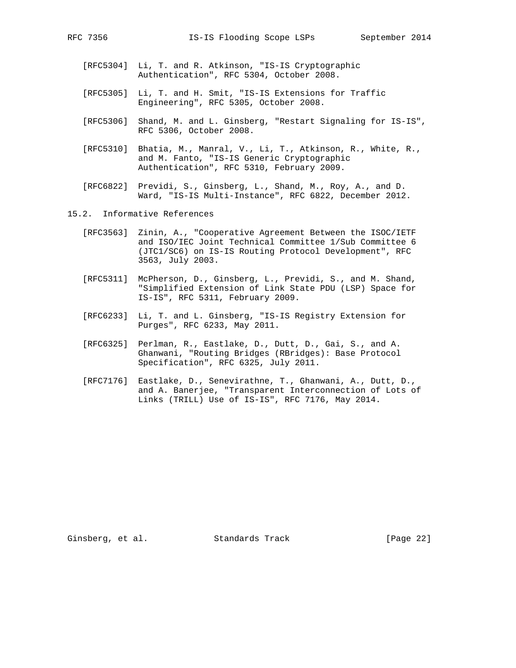- [RFC5304] Li, T. and R. Atkinson, "IS-IS Cryptographic Authentication", RFC 5304, October 2008.
- [RFC5305] Li, T. and H. Smit, "IS-IS Extensions for Traffic Engineering", RFC 5305, October 2008.
- [RFC5306] Shand, M. and L. Ginsberg, "Restart Signaling for IS-IS", RFC 5306, October 2008.
- [RFC5310] Bhatia, M., Manral, V., Li, T., Atkinson, R., White, R., and M. Fanto, "IS-IS Generic Cryptographic Authentication", RFC 5310, February 2009.
- [RFC6822] Previdi, S., Ginsberg, L., Shand, M., Roy, A., and D. Ward, "IS-IS Multi-Instance", RFC 6822, December 2012.
- 15.2. Informative References
	- [RFC3563] Zinin, A., "Cooperative Agreement Between the ISOC/IETF and ISO/IEC Joint Technical Committee 1/Sub Committee 6 (JTC1/SC6) on IS-IS Routing Protocol Development", RFC 3563, July 2003.
	- [RFC5311] McPherson, D., Ginsberg, L., Previdi, S., and M. Shand, "Simplified Extension of Link State PDU (LSP) Space for IS-IS", RFC 5311, February 2009.
	- [RFC6233] Li, T. and L. Ginsberg, "IS-IS Registry Extension for Purges", RFC 6233, May 2011.
	- [RFC6325] Perlman, R., Eastlake, D., Dutt, D., Gai, S., and A. Ghanwani, "Routing Bridges (RBridges): Base Protocol Specification", RFC 6325, July 2011.
	- [RFC7176] Eastlake, D., Senevirathne, T., Ghanwani, A., Dutt, D., and A. Banerjee, "Transparent Interconnection of Lots of Links (TRILL) Use of IS-IS", RFC 7176, May 2014.

Ginsberg, et al. Standards Track [Page 22]